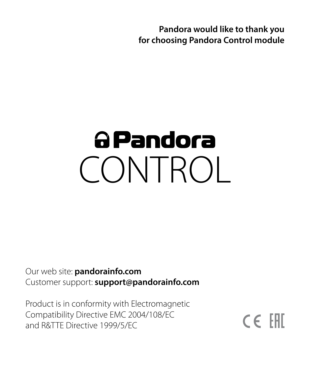**Pandora would like to thank you for choosing Pandora Control module**

# a Pandora CONTROL

Our web site: **pandorainfo.com** Customer support: **support@pandorainfo.com**

Product is in conformity with Electromagnetic Compatibility Directive EMC 2004/108/EC and R&TTE Directive 1999/5/EC

 $C \in \mathbb{H}$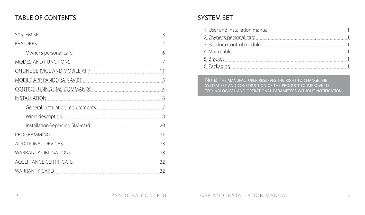# TABLE OF CONTENTS

| SYSTEM SET                        | 3  |
|-----------------------------------|----|
| <b>FEATURES</b>                   | 4  |
| Owner's personal card             | 6  |
| MODES AND FUNCTIONS               | 7  |
| ONLINE SERVICE AND MOBILE APP     | 11 |
| MOBILE APP PANDORA NAV BT         | 13 |
| CONTROL USING SMS COMMANDS        | 14 |
| INSTALLATION                      | 16 |
| General installation requirements | 17 |
| Wires description                 | 18 |
| Installation/replacing SIM-card   | 20 |
| PROGRAMMING                       | 21 |
| <b>ADDITIONAL DEVICES</b>         | 23 |
| <b>WARRANTY OBLIGATIONS</b>       | 28 |
| ACCEPTANCE CERTIFICATE            | 32 |
| WARRANTY CARD                     | 32 |

# SYSTEM SET

| 1. User and installation manual |
|---------------------------------|
| 2. Owner's personal card        |
| 3. Pandora Control module       |
| 4. Main cable                   |
| 5. Bracket                      |
| 6. Packaging                    |

NOTE! THE MANUFACTURER RESERVES THE RIGHT TO CHANGE THE system set and construction of the product to improve its technological and operational parameters without notification.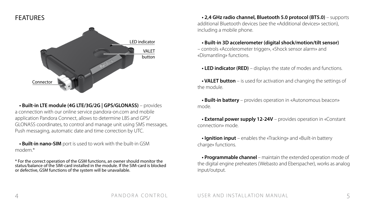# FEATURES



**• Built-in LTE module (4G LTE/3G/2G | GPS/GLONASS)** – provides a connection with our online service pandora-on.com and mobile application Pandora Connect, allows to determine LBS and GPS/ GLONASS coordinates, to control and manage unit using SMS messages, Push messaging, automatic date and time correction by UTC.

**• Built-in nano-SIM** port is used to work with the built-in GSM modem<sup>\*</sup>

\* For the correct operation of the GSM functions, an owner should monitor the status/balance of the SIM-card installed in the module. If the SIM-card is blocked or defective, GSM functions of the system will be unavailable.

**• 2,4 GHz radio channel, Bluetooth 5.0 protocol (BT5.0)** – supports additional Bluetooth devices (see the «Additional devices» section), including a mobile phone.

**• Built-in 3D accelerometer (digital shock/motion/tilt sensor)**  – controls «Accelerometer trigger», «Shock sensor alarm» and «Dismantling» functions.

**• LED indicator (RED)** – displays the state of modes and functions.

**• VALET button** – is used for activation and changing the settings of the module.

**• Built-in battery** – provides operation in «Autonomous beacon» mode.

**• External power supply 12-24V** – provides operation in «Constant connection» mode.

**• Ignition input** – enables the «Tracking» and «Built-in battery charge» functions.

**• Programmable channel** – maintain the extended operation mode of the digital engine preheaters (Webasto and Eberspacher), works as analog input/output.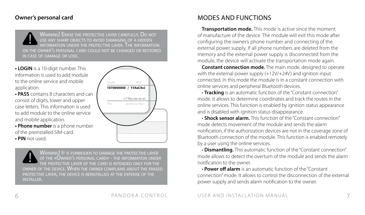#### **Owner's personal card**

WARNING! ERASE THE PROTECTIVE LAYER CAREFULLY. DO NOT use any sharp objects to avoid damaging of a hidden information under the protective layer. The information on the owner's personal card could not be changed or restored in case of damage or lose.

- **LOGIN** is a 10-digit number. This information is used to add module to the online service and mobile application.
- **PASS** contains 8 characters and can consist of digits, lower and upper case letters. This information is used to add module to the online service and mobile application.
- **Phone number** is a phone number of the preinstalled SIM-card. **• PIN** not used.



Warning! It is forbidden to damage the protective layer of the «Owner's personal card» - the information under the protective layer of the card is intended only for the owner of the device. When the owner complains about the erased protective layer, the device is reinstalled at the expense of the installer.

# MODES AND FUNCTIONS

**Transportation mode.** This mode is active since the moment of manufacture of the device. The module will exit this mode after configuring the owner's phone number and connecting of the external power supply. If all phone numbers are deleted from the memory and the external power supply is disconnected from the module, the device will activate the transportation mode again.

**Constant connection mode.** The main mode, designed to operate with the external power supply (+12V/+24V) and ignition input connected. In this mode the module is in a constant connection with online services and peripheral Bluetooth devices.

**· Tracking** is an automatic function of the "Constant connection" mode. It allows to determine coordinates and track the routes in the online services. This function is enabled by ignition status appearance and is disabled with ignition status disappearance.

**· Shock sensor alarm.** This function of the "Constant connection" mode detects movement of the module and sends the alarm notification, if the authorization devices are not in the coverage zone of Bluetooth connection of the module. This function is enabled remotely by a user using the online services.

**· Dismantling.** This automatic function of the "Constant connection" mode allows to detect the overturn of the module and sends the alarm notification to the owner.

**· Power off alarm** is an automatic function of the "Constant connection" mode. It allows to control the disconnection of the external power supply and sends alarm notification to the owner.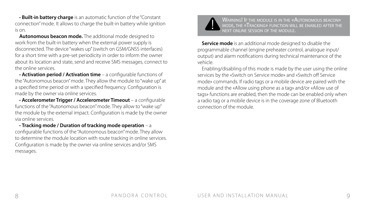**· Built-in battery charge** is an automatic function of the "Constant connection" mode. It allows to charge the built-in battery while ignition is on.

**Autonomous beacon mode.** The additional mode designed to work from the built-in battery when the external power supply is disconnected. The device "wakes up" (switch on GSM/GNSS interfaces) for a short time with a pre-set periodicity in order to inform the owner about its location and state, send and receive SMS messages, connect to the online services.

**· Activation period / Activation time** – a configurable functions of the "Autonomous beacon" mode. They allow the module to "wake up" at a specified time period or with a specified frequency. Configuration is made by the owner via online services.

**· Accelerometer Trigger / Accelerometer Timeout** – a configurable functions of the "Autonomous beacon" mode. They allow to "wake up" the module by the external impact. Configuration is made by the owner via online services.

**· Tracking mode / Duration of tracking mode operation** – a configurable functions of the "Autonomous beacon" mode. They allow to determine the module location with route tracking in online services. Configuration is made by the owner via online services and/or SMS messages.



Warning! If the module is in the «Autonomous beacon» mode, the «Tracking» function will be enabled after the next online session of the module.

**Service mode** is an additional mode designed to disable the programmable channel (engine preheater control, analogue input/ output) and alarm notifications during technical maintenance of the vehicle.

Enabling/disabling of this mode is made by the user using the online services by the «Switch on Service mode» and «Switch off Service mode» commands. If radio tags or a mobile device are paired with the module and the «Allow using phone as a tag» and/or «Allow use of tags» functions are enabled, then the mode can be enabled only when a radio tag or a mobile device is in the coverage zone of Bluetooth connection of the module.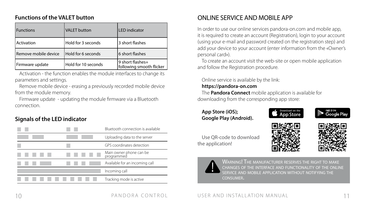#### **Functions of the VALET button**

| <b>Functions</b>     | <b>VALET</b> button | <b>LED</b> indicator                         |
|----------------------|---------------------|----------------------------------------------|
| Activation           | Hold for 3 seconds  | 3 short flashes                              |
| Remove mobile device | Hold for 6 seconds  | 6 short flashes                              |
| Firmware update      | Hold for 10 seconds | 9 short flashes+<br>following smooth flicker |

Activation - the function enables the module interfaces to change its parameters and settings.

Remove mobile device - erasing a previously recorded mobile device from the module memory.

Firmware update - updating the module firmware via a Bluetooth connection.

### **Signals of the LED indicator**

|  | Bluetooth connection is available     |
|--|---------------------------------------|
|  | Uploading data to the server          |
|  | GPS coordinates detection             |
|  | Main owner phone can be<br>programmed |
|  | Available for an incoming call        |
|  | Incoming call                         |
|  | Tracking mode is active               |

# ONLINE SERVICE AND MOBILE APP

In order to use our online services pandora-on.com and mobile app, it is required to create an account (Registration), login to your account (using your e-mail and password created on the registration step) and add your device to your account (enter information from the «Owner's personal card»).

To create an account visit the web-site or open mobile application and follow the Registration procedure.

#### Online service is available by the link:

#### **https://pandora-on.com**

The **Pandora Connect** mobile application is available for downloading from the corresponding app store:

#### **App Store (iOS); Google Play (Android).**











the application!



WARNING! THE MANUFACTURER RESERVES THE RIGHT TO MAKE changes of the interface and functionality of the online service and mobile application without notifying the consumer.

#### 10 PANDORA CONTROL USER AND INSTALLATION MANUAL 11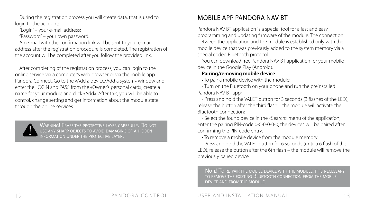During the registration process you will create data, that is used to login to the account:

"Login" – your e-mail address;

"Password" – your own password.

An e-mail with the confirmation link will be sent to your e-mail address after the registration procedure is completed. The registration of the account will be completed after you follow the provided link.

After completing of the registration process, you can login to the online service via a computer's web browser or via the mobile app Pandora Connect. Go to the «Add a device/Add a system» window and enter the LOGIN and PASS from the «Owner's personal card», create a name for your module and click «Add». After this, you will be able to control, change setting and get information about the module state through the online services.



Warning! Erase the protective layer carefully. Do not use any sharp objects to avoid damaging of a hidden.<br>USE ANY SHARP OBJECTS TO AVOID DAMAGING OF A HIDDEN. information under the protective layer.

MOBILE APP PANDORA NAV BT

Pandora NAV BT application is a special tool for a fast and easy programming and updating firmware of the module. The connection between the application and the module is established only with the mobile device that was previously added to the system memory via a special coded Bluetooth protocol.

You can download free Pandora NAV BT application for your mobile device in the Google Play (Android).

#### **Pairing/removing mobile device**

• To pair a mobile device with the module:

- Turn on the Bluetooth on your phone and run the preinstalled Pandora NAV BT app;

- Press and hold the VALET button for 3 seconds (3 flashes of the LED), release the button after the third flash – the module will activate the Bluetooth connection;

- Select the found device in the «Search» menu of the application, enter the pairing PIN-code 0-0-0-0-0-0, the devices will be paired after confirming the PIN-code entry.

• To remove a mobile device from the module memory:

- Press and hold the VALET button for 6 seconds (until a 6 flash of the LED), release the button after the 6th flash – the module will remove the previously paired device.

Note! To re-pair the mobile device with the module, it is necessary to remove the existing Bluetooth connection from the mobile device and from the module.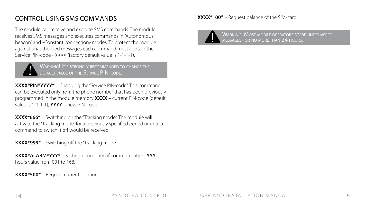# CONTROL USING SMS COMMANDS

The module can receive and execute SMS commands. The module receives SMS messages and executes commands in "Autonomous beacon" and «Constant connection» modes. To protect the module against unauthorized messages each command must contain the Service PIN-code - ХХХХ (factory default value is 1-1-1-1).



WARNING! It's STRONGLY RECOMMENDED TO CHANGE THE default value of the Service PIN-code.

**ХХХХ\*PIN\*YYYY\*** – Changing the "Service PIN-code". This command can be executed only from the phone number that has been previously programmed in the module memory **ХХХХ** – current PIN-code (default value is 1-1-1-1), **YYYY** – new PIN-code.

**XXXX\*666\*** – Switching on the "Tracking mode". The module will activate the "Tracking mode" for a previously specified period or until a command to switch it off would be received.

**ХХХХ\*999\*** – Switching off the "Tracking mode".

**ХХХХ\*ALARM\*YYY\*** – Setting periodicity of communication. **YYY** – hours value from 001 to 168.

**ХХХХ\*500\*** – Request current location.

**ХХХХ\*100\*** – Request balance of the SIM-card.



Warning! Most mobile operators store undelivered messages for no more than 24 hours.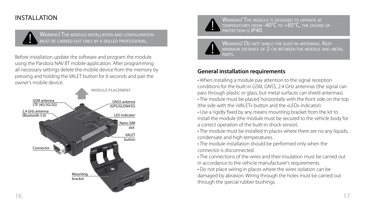# INSTALLATION



Warning! The module installation and configuration must be carried out only by <sup>a</sup> skilled professional.

Before installation update the software and program the module using the Pandora NAV BT mobile application. After programming all necessary settings delete the mobile device from the memory by pressing and holding the VALET button for 6 seconds and pair the owner's mobile device.





WARNING! THE MODULE IS DESIGNED TO OPERATE AT temperatures from -40°C to +85°C, the degree of protection is IP40.

Warning! Do not shield the built-in antennas. Keep minimum distance of 2 cm between the module and metal parts.

### **General installation requirements**

• When installing a module pay attention to the signal reception conditions for the built-in GSM, GNSS, 2.4 GHz antennas (the signal can pass through plastic or glass, but metal surfaces can shield antennas).

• The module must be placed horizontally with the front side on the top (the side with the «VALET» button and the «LED» indicator).

• Use a rigidly fixed by any means mounting bracket from the kit to install the module (the module must be secured to the vehicle body for a correct operation of the built-in shock sensor).

• The module must be installed in places where there are no any liquids. condensate and high temperatures.

• The module installation should be performed only when the connector is disconnected.

• The connections of the wires and their insulation must be carried out in accordance to the vehicle manufacturer's requirements.

• Do not place wiring in places where the wires isolation can be damaged by abrasion. Wiring through the holes must be carried out through the special rubber bushings.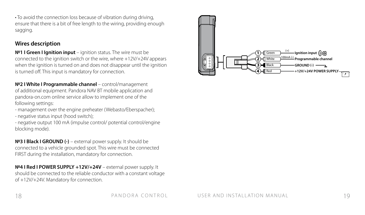• To avoid the connection loss because of vibration during driving, ensure that there is a bit of free length to the wiring, providing enough sagging.

#### **Wires description**

**№1 I Green I Ignition input** – ignition status. The wire must be connected to the ignition switch or the wire, where +12V/+24V appears when the ignition is turned on and does not disappear until the ignition is turned off. This input is mandatory for connection.

**№2 I White I Programmable channel** – control/management of additional equipment. Pandora NAV BT mobile application and pandora-on.com online service allow to implement one of the following settings:

- management over the engine preheater (Webasto/Eberspacher);
- negative status input (hood switch);

- negative output 100 mA (impulse control/ potential control/engine blocking mode).

**№3 I Black I GROUND (-)** – external power supply. It should be connected to a vehicle grounded spot. This wire must be connected FIRST during the installation, mandatory for connection.

**№4 I Red I POWER SUPPLY +12V/+24V** – external power supply. It should be connected to the reliable conductor with a constant voltage of +12V/+24V. Mandatory for connection.

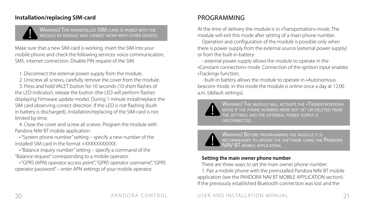#### **Installation/replacing SIM-card**

Warning! The preinstalled SIM-card is paired with the module by default and cannot work with other devices.

Make sure that a new SIM-card is working. Insert the SIM into your mobile phone and check the following services: voice communication, SMS, internet connection. Disable PIN request of the SIM.

1. Disconnect the external power supply from the module.

2. Unscrew all screws, carefully remove the cover from the module.

3. Press and hold VALET button for 10 seconds (10 short flashes of the LED indicator), release the button (the LED will perform flashes displaying Firmware update mode). During 1 minute install/replace the SIM card observing correct direction. If the LED is not flashing (builtin battery is discharged), installation/replacing of the SIM-card is not limited by time.

4. Close the cover and screw all screws. Program the module with Pandora NAV BT mobile application:

• "System phone number" setting – specify a new number of the installed SIM card in the format +XXXXXXXXXXX

• "Balance inquiry number" setting – specify a command of the "Balance request" corresponding to a mobile operator.

• "GPRS (APN) operator access point", "GPRS operator username", "GPRS operator password" – enter APN settings of your mobile operator.

# PROGRAMMING

At the time of delivery the module is in «Transportation» mode. The module will exit this mode after setting of a main phone number.

Operation and configuration of the module is possible only when there is power supply from the external source (external power supply) or from the built-in battery:

- external power supply allows the module to operate in the «Constant connection» mode. Connection of the ignition input enables «Tracking» function;

- built-in battery allows the module to operate in «Autonomous beacon» mode. In this mode the module is online once a day at 12:00 a.m. (default settings).



Warning! The module will activate the «Transportation»<br>mode if the phone numbers were not set or deleted from the settings and the external power supply is disconnected.



Warning! Before programming the module it is recommended to update the software using the Pandora NAV BT mobile application.

#### **Setting the main owner phone number**

There are three ways to set the main owner phone number:

1. Pair a mobile phone with the preinstalled Pandora NAV BT mobile application (see the PANDORA NAV BT MOBILE APPLICATION section). If the previously established Bluetooth connection was lost and the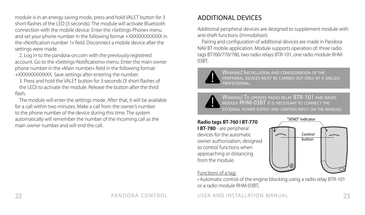module is in an energy saving mode, press and hold VALET button for 3 short flashes of the LED (3 seconds). The module will activate Bluetooth connection with the mobile device. Enter the «Settings-Phone» menu and set your phone number in the following format +XXXXXXXXXXX in the «Notification number 1» field. Disconnect a mobile device after the settings were made.

2. Log in to the pandora-on.com with the previously registered account. Go to the «Settings-Notifications» menu. Enter the main owner phone number in the «Main number» field in the following format: +XXXXXXXXXXXX. Save settings after entering the number.

3. Press and hold the VALET button for 3 seconds (3 short flashes of

the LED) to activate the module. Release the button after the third flash.

The module will enter the settings mode. After that, it will be available for a call within two minutes. Make a call from the owner's number to the phone number of the device during this time. The system automatically will remember the number of the incoming call as the main owner number and will end the call.

# ADDITIONAL DEVICES

Additional peripheral devices are designed to supplement module with anti-theft functions (Immobiliser).

Pairing and configuration of additional devices are made in Pandora NAV BT mobile application. Module supports operation of: three radio tags BT760/770/780, two radio relays BTR-101, one radio module RHM-03BT.



Warning! Installation and configuration of the peripheral devices must be carried out only by a skilled professional.

WARNING! TO OPERATE RADIO RELAY BTR-101 AND RADIO module RHM-03BT it is necessary to connect the external power supply and ignition input on the module.

# **Radio tags BT-760 I BT-770**

**I BT-780** - are peripheral devices for the automatic owner authorization, designed to control functions when approaching or distancing from the module.



#### Functions of a tag:

• Automatic control of the engine blocking using a radio relay BTR-101 or a radio module RHM-03BT;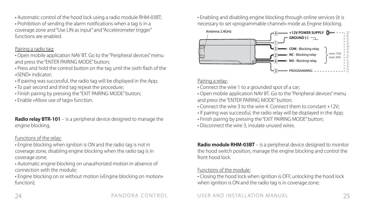• Automatic control of the hood lock using a radio module RHM-03BT;

• Prohibition of sending the alarm notifications when a tag is in a coverage zone and "Use LIN as input" and "Accelerometer trigger" functions are enabled.

#### Pairing a radio tag:

- Open mobile application NAV BT. Go to the "Peripheral devices" menu and press the "ENTER PAIRING MODE" button;
- Press and hold the control button on the tag until the sixth flash of the «SEND» indicator;
- If pairing was successful, the radio tag will be displayed in the App;
- To pair second and third tag repeat the procedure;
- Finish pairing by pressing the "EXIT PAIRING MODE" button;
- Enable «Allow use of tags» function.

**Radio relay BTR-101** – is a peripheral device designed to manage the engine blocking.

#### Functions of the relay:

• Engine blocking when ignition is ON and the radio tag is not in coverage zone, disabling engine blocking when the radio tag is in coverage zone;

• Automatic engine blocking on unauthorized motion in absence of connection with the module;

• Engine blocking on or without motion («Engine blocking on motion» function);

• Enabling and disabling engine blocking through online services (it is necessary to set «programmable channel» mode as Engine blocking.



#### Pairing a relay:

- Connect the wire 1 to a grounded spot of a car;
- Open mobile application NAV BT. Go to the "Peripheral devices" menu and press the "ENTER PAIRING MODE" button;
- Connect the wire 3 to the wire 4. Connect them to constant +12V;
- If pairing was successful, the radio relay will be displayed in the App;
- Finish pairing by pressing the "EXIT PAIRING MODE" button;
- Disconnect the wire 3, insulate unused wires.

**Radio module RHM-03BT** – is a peripheral device designed to monitor the hood switch position, manage the engine blocking and control the front hood lock.

#### Functions of the module:

• Closing the hood lock when ignition is OFF, unlocking the hood lock when ignition is ON and the radio tag is in coverage zone;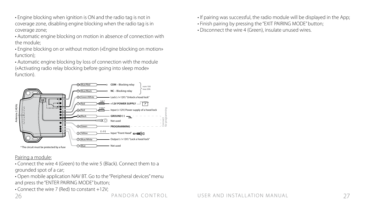• Engine blocking when ignition is ON and the radio tag is not in coverage zone, disabling engine blocking when the radio tag is in coverage zone;

• Automatic engine blocking on motion in absence of connection with the module;

• Engine blocking on or without motion («Engine blocking on motion» function);

• Automatic engine blocking by loss of connection with the module («Activating radio relay blocking before going into sleep mode» function).



Pairing a module:

• Connect the wire 4 (Green) to the wire 5 (Black). Connect them to a grounded spot of a car;

• Open mobile application NAV BT. Go to the "Peripheral devices" menu and press the "ENTER PAIRING MODE" button;

• Connect the wire 7 (Red) to constant +12V;

• If pairing was successful, the radio module will be displayed in the App;

- Finish pairing by pressing the "EXIT PAIRING MODE" button;
- Disconnect the wire 4 (Green), insulate unused wires.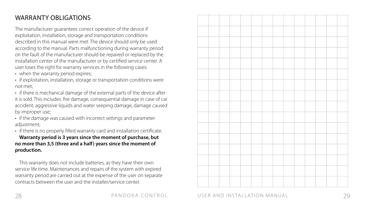# WARRANTY OBLIGATIONS

The manufacturer guarantees correct operation of the device if exploitation, installation, storage and transportation conditions described in this manual were met. The device should only be used according to the manual. Parts malfunctioning during warranty period on the fault of the manufacturer should be repaired or replaced by the installation center of the manufacturer or by certified service center. A user loses the right for warranty services in the following cases:

- 
- when the warranty period expires;<br>• if exploitation, installation, storage or transportation conditions were not met;<br>• if there is mechanical damage of the external parts of the device after
- it is sold. This includes: fire damage, consequential damage in case of car accident, aggressive liquids and water seeping damage, damage caused by improper use;<br>• if the damage was caused with incorrect settings and parameter
- 
- adjustment;<br>• if there is no properly filled warranty card and installation certificate.

**Warranty period is 3 years since the moment of purchase, but no more than 3,5 (three and a half) years since the moment of production.**

This warranty does not include batteries, as they have their own service life time. Maintenances and repairs of the system with expired warranty period are carried out at the expense of the user on separate contracts between the user and the installer/service center.